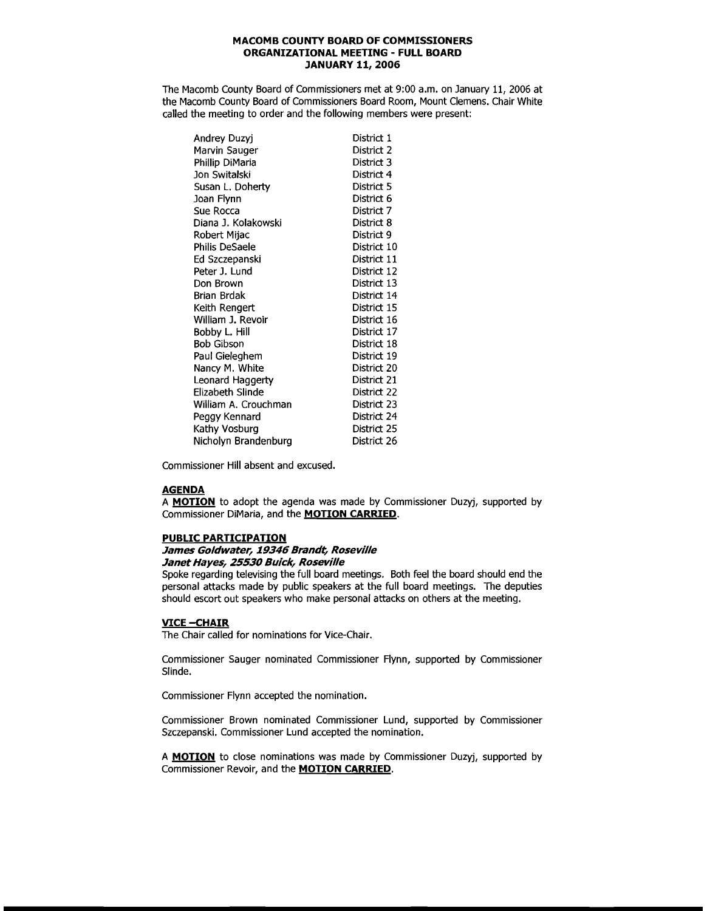### **MACOMB COUNTY BOARD OF COMMISSIONERS ORGANIZATIONAL MEETING - FULL BOARD JANUARY 11, 2006**

The Macomb County Board of Commissioners met at 9:00 a.m. on January 11, 2006 at the Macomb County Board of Commissioners Board Room, Mount Clemens. Chair White called the meeting to order and the following members were present:

| Andrey Duzyj         | District 1  |
|----------------------|-------------|
| Marvin Sauger        | District 2  |
| Phillip DiMaria      | District 3  |
| Jon Switalski        | District 4  |
| Susan L. Doherty     | District 5  |
| Joan Flynn           | District 6  |
| Sue Rocca            | District 7  |
| Diana J. Kolakowski  | District 8  |
| Robert Mijac         | District 9  |
| Philis DeSaele       | District 10 |
| Ed Szczepanski       | District 11 |
| Peter J. Lund        | District 12 |
| Don Brown            | District 13 |
| Brian Brdak          | District 14 |
| Keith Rengert        | District 15 |
| William J. Revoir    | District 16 |
| Bobby L. Hill        | District 17 |
| Bob Gibson           | District 18 |
| Paul Gieleghem       | District 19 |
| Nancy M. White       | District 20 |
| Leonard Haggerty     | District 21 |
| Elizabeth Slinde     | District 22 |
| William A. Crouchman | District 23 |
| Peggy Kennard        | District 24 |
| Kathy Vosburg        | District 25 |
| Nicholyn Brandenburg | District 26 |

Commissioner Hill absent and excused.

#### **AGENDA**

A **MOTION** to adopt the agenda was made by Commissioner Duzyj, supported by Commissioner DiMaria, and the **MOTION CARRIED.** 

#### **PUBLIC PARTICIPATION**

#### **James Goldwater, 19346 Brandt, Roseville Janet Hayes, 25530 Buick, Roseville**

Spoke regarding televising the full board meetings. Both feel the board should end the personal attacks made by public speakers at the full board meetings. The deputies should escort out speakers who make personal attacks on others at the meeting.

## **VICE -- CHAIR**

The Chair called for nominations for Vice-Chair.

Commissioner Sauger nominated Commissioner Flynn, supported by Commissioner Slinde.

Commissioner Flynn accepted the nomination.

Commissioner Brown nominated Commissioner Lund, supported by Commissioner Szczepanski. Commissioner Lund accepted the nomination.

A **MOTION** to close nominations was made by Commissioner Duzyj, supported by Commissioner Revoir, and the **MOTION CARRIED.**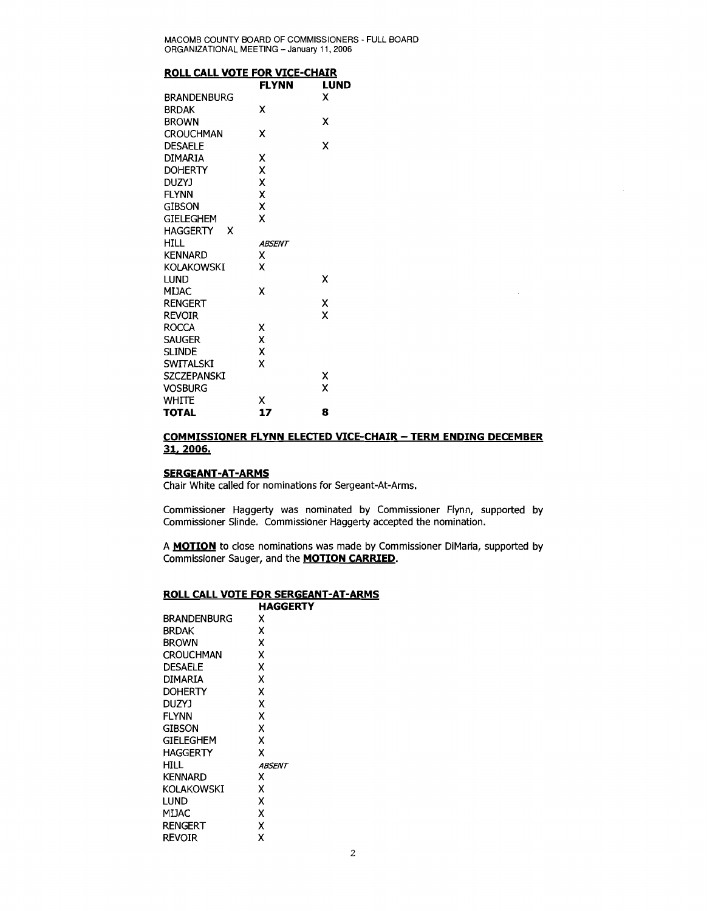MACOMB COUNTY BOARD OF COMMISSIONERS - FULL BOARD ORGANIZATIONAL MEETING - January 11,2006

|  | ROLL CALL VOTE FOR VICE-CHAIR |
|--|-------------------------------|
|  |                               |

| <u>RULL CALL VOTE FOR VICE-CHAIR</u> |               |      |
|--------------------------------------|---------------|------|
|                                      | <b>FLYNN</b>  | LUND |
| <b>BRANDENBURG</b>                   |               | x    |
| <b>BRDAK</b>                         | x             |      |
| <b>BROWN</b>                         |               | x    |
| <b>CROUCHMAN</b>                     | x             |      |
| <b>DESAELE</b>                       |               | x    |
| <b>DIMARIA</b>                       | x             |      |
| <b>DOHERTY</b>                       | X             |      |
| DUZYJ                                | Χ             |      |
| <b>FLYNN</b>                         | X             |      |
| GIBSON                               | X             |      |
| <b>GIELEGHEM</b>                     | x             |      |
| HAGGERTY<br>x                        |               |      |
| <b>HILL</b>                          | <b>ABSENT</b> |      |
| KENNARD                              | x             |      |
| <b>KOLAKOWSKI</b>                    | X             |      |
| <b>LUND</b>                          |               | x    |
| <b>MIJAC</b>                         | x             |      |
| <b>RENGERT</b>                       |               | X    |
| Revoir                               |               | X    |
| <b>ROCCA</b>                         | x             |      |
| <b>SAUGER</b>                        | X             |      |
| <b>SLINDE</b>                        | X             |      |
| <b>SWITALSKI</b>                     | x             |      |
| <b>SZCZEPANSKI</b>                   |               | x    |
| <b>VOSBURG</b>                       |               | X    |
| <b>WHITE</b>                         | x             |      |
| <b>TOTAL</b>                         | 17            | 8    |

# **COMMISSIONER FLYNN ELECTED VICE-CHAIR - TERM ENDING DECEMBER 31.2006.**

 $\mathcal{L}$ 

#### **SERGEANT-AT-ARMS**

Chair White called for nominations for Sergeant-At-Arms.

Commissioner Haggerty was nominated by Commissioner Flynn, supported by Commissioner Slinde. Commissioner Haggerty accepted the nomination.

A **MOTION** to close nominations was made by Commissioner DiMaria, supported by Commissioner Sauger, and the **MOTION CARRIED.** 

#### **ROLL CALL VOTE FOR SERGEANT-AT-ARMS HAGGERTY**

|                    | MAGGERI |
|--------------------|---------|
| <b>BRANDENBURG</b> | x       |
| <b>BRDAK</b>       | x       |
| <b>BROWN</b>       | X       |
| <b>CROUCHMAN</b>   | x       |
| <b>DESAELE</b>     | x       |
| DIMARIA            | x       |
| <b>DOHERTY</b>     | x       |
| DUZYJ              | x       |
| <b>FLYNN</b>       | X       |
| gibson             | X       |
| GIELEGHEM          | x       |
| HAGGERTY           | x       |
| HILL               | ABSENT  |
| <b>KENNARD</b>     | x       |
| KOLAKOWSKI         | x       |
| lund               | x       |
| MIJAC              | x       |
| RENGERT            | X       |
| revoir             | x       |